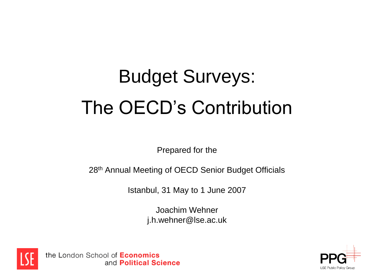# Budget Surveys: The OECD's Contribution

Prepared for the

28th Annual Meeting of OECD Senior Budget Officials

Istanbul, 31 May to 1 June 2007

Joachim Wehner j.h.wehner@lse.ac.uk



the London School of **Economics** and Political Science

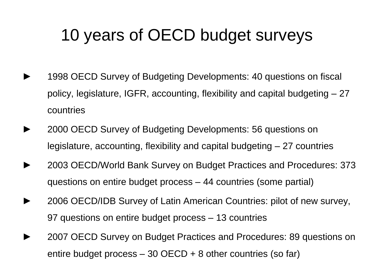## 10 years of OECD budget surveys

- 1998 OECD Survey of Budgeting Developments: 40 questions on fiscal policy, legislature, IGFR, accounting, flexibility and capital budgeting – 27 countries
- ► 2000 OECD Survey of Budgeting Developments: 56 questions on legislature, accounting, flexibility and capital budgeting – 27 countries
	- ► 2003 OECD/World Bank Survey on Budget Practices and Procedures: 373 questions on entire budget process – 44 countries (some partial)
- ► 2006 OECD/IDB Survey of Latin American Countries: pilot of new survey, 97 questions on entire budget process – 13 countries
	- 2007 OECD Survey on Budget Practices and Procedures: 89 questions on entire budget process  $-30$  OECD  $+8$  other countries (so far)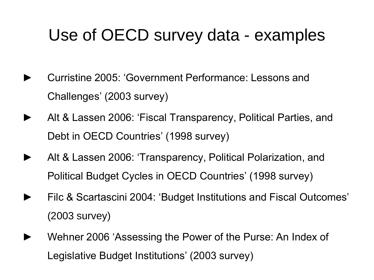## Use of OECD survey data - examples

- ► Curristine 2005: 'Government Performance: Lessons and Challenges' (2003 survey)
- Alt & Lassen 2006: 'Fiscal Transparency, Political Parties, and Debt in OECD Countries' (1998 survey)
- ► Alt & Lassen 2006: 'Transparency, Political Polarization, and Political Budget Cycles in OECD Countries' (1998 survey)
- Filc & Scartascini 2004: 'Budget Institutions and Fiscal Outcomes' (2003 survey)
- Wehner 2006 'Assessing the Power of the Purse: An Index of Legislative Budget Institutions' (2003 survey)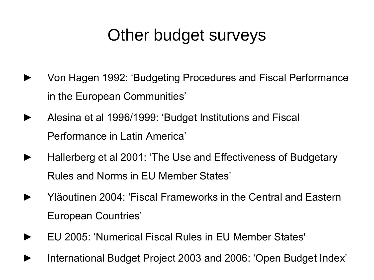## Other budget surveys

- Von Hagen 1992: 'Budgeting Procedures and Fiscal Performance in the European Communities'
- ► Alesina et al 1996/1999: 'Budget Institutions and Fiscal Performance in Latin America'
- ► Hallerberg et al 2001: 'The Use and Effectiveness of Budgetary Rules and Norms in EU Member States'
- ► Yläoutinen 2004: 'Fiscal Frameworks in the Central and Eastern European Countries'
- ► EU 2005: 'Numerical Fiscal Rules in EU Member States'
- International Budget Project 2003 and 2006: 'Open Budget Index'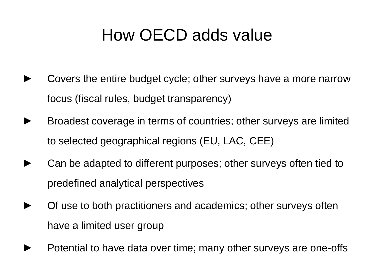## How OECD adds value

- Covers the entire budget cycle; other surveys have a more narrow focus (fiscal rules, budget transparency)
- Broadest coverage in terms of countries; other surveys are limited to selected geographical regions (EU, LAC, CEE)
- Can be adapted to different purposes; other surveys often tied to predefined analytical perspectives
- Of use to both practitioners and academics; other surveys often have a limited user group
- Potential to have data over time; many other surveys are one-offs